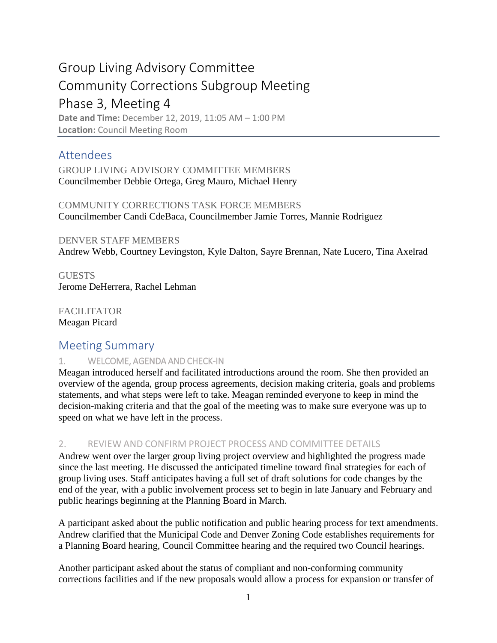# Group Living Advisory Committee Community Corrections Subgroup Meeting Phase 3, Meeting 4 **Date and Time:** December 12, 2019, 11:05 AM – 1:00 PM **Location:** Council Meeting Room

Attendees

GROUP LIVING ADVISORY COMMITTEE MEMBERS Councilmember Debbie Ortega, Greg Mauro, Michael Henry

COMMUNITY CORRECTIONS TASK FORCE MEMBERS Councilmember Candi CdeBaca, Councilmember Jamie Torres, Mannie Rodriguez

DENVER STAFF MEMBERS Andrew Webb, Courtney Levingston, Kyle Dalton, Sayre Brennan, Nate Lucero, Tina Axelrad

**GUESTS** Jerome DeHerrera, Rachel Lehman

FACILITATOR Meagan Picard

## Meeting Summary

### 1. WELCOME, AGENDA AND CHECK-IN

Meagan introduced herself and facilitated introductions around the room. She then provided an overview of the agenda, group process agreements, decision making criteria, goals and problems statements, and what steps were left to take. Meagan reminded everyone to keep in mind the decision-making criteria and that the goal of the meeting was to make sure everyone was up to speed on what we have left in the process.

### 2. REVIEW AND CONFIRM PROJECT PROCESS AND COMMITTEE DETAILS

Andrew went over the larger group living project overview and highlighted the progress made since the last meeting. He discussed the anticipated timeline toward final strategies for each of group living uses. Staff anticipates having a full set of draft solutions for code changes by the end of the year, with a public involvement process set to begin in late January and February and public hearings beginning at the Planning Board in March.

A participant asked about the public notification and public hearing process for text amendments. Andrew clarified that the Municipal Code and Denver Zoning Code establishes requirements for a Planning Board hearing, Council Committee hearing and the required two Council hearings.

Another participant asked about the status of compliant and non-conforming community corrections facilities and if the new proposals would allow a process for expansion or transfer of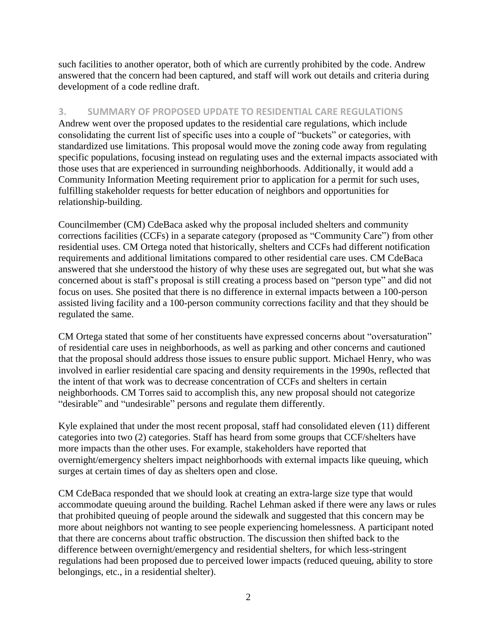such facilities to another operator, both of which are currently prohibited by the code. Andrew answered that the concern had been captured, and staff will work out details and criteria during development of a code redline draft.

#### **3. SUMMARY OF PROPOSED UPDATE TO RESIDENTIAL CARE REGULATIONS**

Andrew went over the proposed updates to the residential care regulations, which include consolidating the current list of specific uses into a couple of "buckets" or categories, with standardized use limitations. This proposal would move the zoning code away from regulating specific populations, focusing instead on regulating uses and the external impacts associated with those uses that are experienced in surrounding neighborhoods. Additionally, it would add a Community Information Meeting requirement prior to application for a permit for such uses, fulfilling stakeholder requests for better education of neighbors and opportunities for relationship-building.

Councilmember (CM) CdeBaca asked why the proposal included shelters and community corrections facilities (CCFs) in a separate category (proposed as "Community Care") from other residential uses. CM Ortega noted that historically, shelters and CCFs had different notification requirements and additional limitations compared to other residential care uses. CM CdeBaca answered that she understood the history of why these uses are segregated out, but what she was concerned about is staff's proposal is still creating a process based on "person type" and did not focus on uses. She posited that there is no difference in external impacts between a 100-person assisted living facility and a 100-person community corrections facility and that they should be regulated the same.

CM Ortega stated that some of her constituents have expressed concerns about "oversaturation" of residential care uses in neighborhoods, as well as parking and other concerns and cautioned that the proposal should address those issues to ensure public support. Michael Henry, who was involved in earlier residential care spacing and density requirements in the 1990s, reflected that the intent of that work was to decrease concentration of CCFs and shelters in certain neighborhoods. CM Torres said to accomplish this, any new proposal should not categorize "desirable" and "undesirable" persons and regulate them differently.

Kyle explained that under the most recent proposal, staff had consolidated eleven (11) different categories into two (2) categories. Staff has heard from some groups that CCF/shelters have more impacts than the other uses. For example, stakeholders have reported that overnight/emergency shelters impact neighborhoods with external impacts like queuing, which surges at certain times of day as shelters open and close.

CM CdeBaca responded that we should look at creating an extra-large size type that would accommodate queuing around the building. Rachel Lehman asked if there were any laws or rules that prohibited queuing of people around the sidewalk and suggested that this concern may be more about neighbors not wanting to see people experiencing homelessness. A participant noted that there are concerns about traffic obstruction. The discussion then shifted back to the difference between overnight/emergency and residential shelters, for which less-stringent regulations had been proposed due to perceived lower impacts (reduced queuing, ability to store belongings, etc., in a residential shelter).